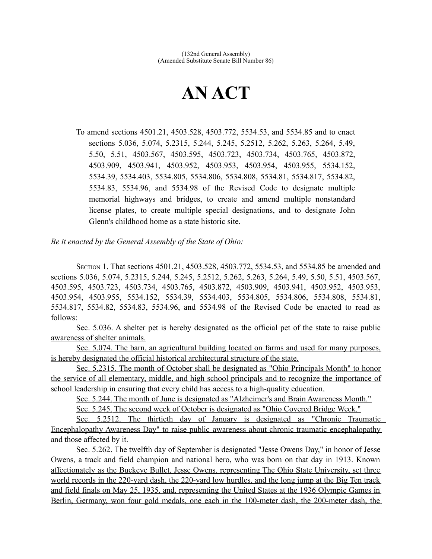## **AN ACT**

To amend sections 4501.21, 4503.528, 4503.772, 5534.53, and 5534.85 and to enact sections 5.036, 5.074, 5.2315, 5.244, 5.245, 5.2512, 5.262, 5.263, 5.264, 5.49, 5.50, 5.51, 4503.567, 4503.595, 4503.723, 4503.734, 4503.765, 4503.872, 4503.909, 4503.941, 4503.952, 4503.953, 4503.954, 4503.955, 5534.152, 5534.39, 5534.403, 5534.805, 5534.806, 5534.808, 5534.81, 5534.817, 5534.82, 5534.83, 5534.96, and 5534.98 of the Revised Code to designate multiple memorial highways and bridges, to create and amend multiple nonstandard license plates, to create multiple special designations, and to designate John Glenn's childhood home as a state historic site.

*Be it enacted by the General Assembly of the State of Ohio:*

SECTION 1. That sections 4501.21, 4503.528, 4503.772, 5534.53, and 5534.85 be amended and sections 5.036, 5.074, 5.2315, 5.244, 5.245, 5.2512, 5.262, 5.263, 5.264, 5.49, 5.50, 5.51, 4503.567, 4503.595, 4503.723, 4503.734, 4503.765, 4503.872, 4503.909, 4503.941, 4503.952, 4503.953, 4503.954, 4503.955, 5534.152, 5534.39, 5534.403, 5534.805, 5534.806, 5534.808, 5534.81, 5534.817, 5534.82, 5534.83, 5534.96, and 5534.98 of the Revised Code be enacted to read as follows:

Sec. 5.036. A shelter pet is hereby designated as the official pet of the state to raise public awareness of shelter animals.

 Sec. 5.074. The barn, an agricultural building located on farms and used for many purposes, is hereby designated the official historical architectural structure of the state.

 Sec. 5.2315. The month of October shall be designated as "Ohio Principals Month" to honor the service of all elementary, middle, and high school principals and to recognize the importance of school leadership in ensuring that every child has access to a high-quality education.

Sec. 5.244. The month of June is designated as "Alzheimer's and Brain Awareness Month."

Sec. 5.245. The second week of October is designated as "Ohio Covered Bridge Week."

 Sec. 5.2512. The thirtieth day of January is designated as "Chronic Traumatic Encephalopathy Awareness Day" to raise public awareness about chronic traumatic encephalopathy and those affected by it.

 Sec. 5.262. The twelfth day of September is designated "Jesse Owens Day," in honor of Jesse Owens, a track and field champion and national hero, who was born on that day in 1913. Known affectionately as the Buckeye Bullet, Jesse Owens, representing The Ohio State University, set three world records in the 220-yard dash, the 220-yard low hurdles, and the long jump at the Big Ten track and field finals on May 25, 1935, and, representing the United States at the 1936 Olympic Games in Berlin, Germany, won four gold medals, one each in the 100-meter dash, the 200-meter dash, the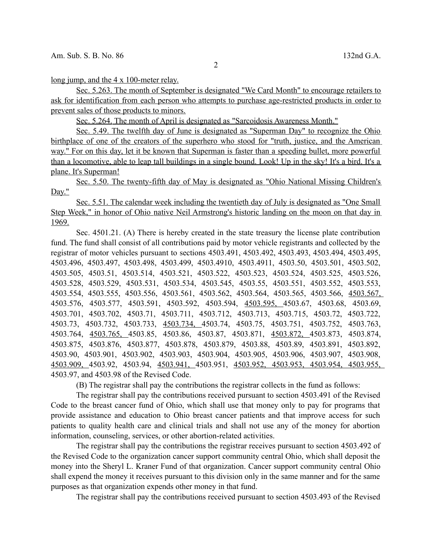long jump, and the 4 x 100-meter relay.

 Sec. 5.263. The month of September is designated "We Card Month" to encourage retailers to ask for identification from each person who attempts to purchase age-restricted products in order to prevent sales of those products to minors.

Sec. 5.264. The month of April is designated as "Sarcoidosis Awareness Month."

 Sec. 5.49. The twelfth day of June is designated as "Superman Day" to recognize the Ohio birthplace of one of the creators of the superhero who stood for "truth, justice, and the American way." For on this day, let it be known that Superman is faster than a speeding bullet, more powerful than a locomotive, able to leap tall buildings in a single bound. Look! Up in the sky! It's a bird. It's a plane. It's Superman!

 Sec. 5.50. The twenty-fifth day of May is designated as "Ohio National Missing Children's Day."

 Sec. 5.51. The calendar week including the twentieth day of July is designated as "One Small Step Week," in honor of Ohio native Neil Armstrong's historic landing on the moon on that day in 1969.

Sec. 4501.21. (A) There is hereby created in the state treasury the license plate contribution fund. The fund shall consist of all contributions paid by motor vehicle registrants and collected by the registrar of motor vehicles pursuant to sections 4503.491, 4503.492, 4503.493, 4503.494, 4503.495, 4503.496, 4503.497, 4503.498, 4503.499, 4503.4910, 4503.4911, 4503.50, 4503.501, 4503.502, 4503.505, 4503.51, 4503.514, 4503.521, 4503.522, 4503.523, 4503.524, 4503.525, 4503.526, 4503.528, 4503.529, 4503.531, 4503.534, 4503.545, 4503.55, 4503.551, 4503.552, 4503.553, 4503.554, 4503.555, 4503.556, 4503.561, 4503.562, 4503.564, 4503.565, 4503.566, 4503.567, 4503.576, 4503.577, 4503.591, 4503.592, 4503.594, 4503.595, 4503.67, 4503.68, 4503.69, 4503.701, 4503.702, 4503.71, 4503.711, 4503.712, 4503.713, 4503.715, 4503.72, 4503.722, 4503.73, 4503.732, 4503.733, 4503.734, 4503.74, 4503.75, 4503.751, 4503.752, 4503.763, 4503.764, 4503.765, 4503.85, 4503.86, 4503.87, 4503.871, 4503.872, 4503.873, 4503.874, 4503.875, 4503.876, 4503.877, 4503.878, 4503.879, 4503.88, 4503.89, 4503.891, 4503.892, 4503.90, 4503.901, 4503.902, 4503.903, 4503.904, 4503.905, 4503.906, 4503.907, 4503.908, 4503.909, 4503.92, 4503.94, 4503.941, 4503.951, 4503.952, 4503.953, 4503.954, 4503.955, 4503.97, and 4503.98 of the Revised Code.

(B) The registrar shall pay the contributions the registrar collects in the fund as follows:

The registrar shall pay the contributions received pursuant to section 4503.491 of the Revised Code to the breast cancer fund of Ohio, which shall use that money only to pay for programs that provide assistance and education to Ohio breast cancer patients and that improve access for such patients to quality health care and clinical trials and shall not use any of the money for abortion information, counseling, services, or other abortion-related activities.

The registrar shall pay the contributions the registrar receives pursuant to section 4503.492 of the Revised Code to the organization cancer support community central Ohio, which shall deposit the money into the Sheryl L. Kraner Fund of that organization. Cancer support community central Ohio shall expend the money it receives pursuant to this division only in the same manner and for the same purposes as that organization expends other money in that fund.

The registrar shall pay the contributions received pursuant to section 4503.493 of the Revised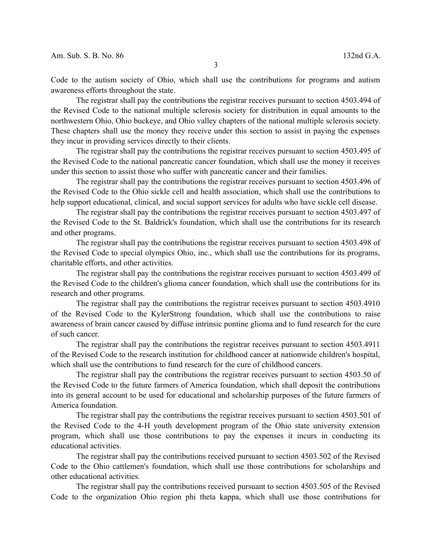Code to the autism society of Ohio, which shall use the contributions for programs and autism awareness efforts throughout the state.

The registrar shall pay the contributions the registrar receives pursuant to section 4503.494 of the Revised Code to the national multiple sclerosis society for distribution in equal amounts to the northwestern Ohio, Ohio buckeye, and Ohio valley chapters of the national multiple sclerosis society. These chapters shall use the money they receive under this section to assist in paying the expenses they incur in providing services directly to their clients.

The registrar shall pay the contributions the registrar receives pursuant to section 4503.495 of the Revised Code to the national pancreatic cancer foundation, which shall use the money it receives under this section to assist those who suffer with pancreatic cancer and their families.

The registrar shall pay the contributions the registrar receives pursuant to section 4503.496 of the Revised Code to the Ohio sickle cell and health association, which shall use the contributions to help support educational, clinical, and social support services for adults who have sickle cell disease.

The registrar shall pay the contributions the registrar receives pursuant to section 4503.497 of the Revised Code to the St. Baldrick's foundation, which shall use the contributions for its research and other programs.

The registrar shall pay the contributions the registrar receives pursuant to section 4503.498 of the Revised Code to special olympics Ohio, inc., which shall use the contributions for its programs, charitable efforts, and other activities.

The registrar shall pay the contributions the registrar receives pursuant to section 4503.499 of the Revised Code to the children's glioma cancer foundation, which shall use the contributions for its research and other programs.

The registrar shall pay the contributions the registrar receives pursuant to section 4503.4910 of the Revised Code to the KylerStrong foundation, which shall use the contributions to raise awareness of brain cancer caused by diffuse intrinsic pontine glioma and to fund research for the cure of such cancer.

The registrar shall pay the contributions the registrar receives pursuant to section 4503.4911 of the Revised Code to the research institution for childhood cancer at nationwide children's hospital, which shall use the contributions to fund research for the cure of childhood cancers.

The registrar shall pay the contributions the registrar receives pursuant to section 4503.50 of the Revised Code to the future farmers of America foundation, which shall deposit the contributions into its general account to be used for educational and scholarship purposes of the future farmers of America foundation.

The registrar shall pay the contributions the registrar receives pursuant to section 4503.501 of the Revised Code to the 4-H youth development program of the Ohio state university extension program, which shall use those contributions to pay the expenses it incurs in conducting its educational activities.

The registrar shall pay the contributions received pursuant to section 4503.502 of the Revised Code to the Ohio cattlemen's foundation, which shall use those contributions for scholarships and other educational activities.

The registrar shall pay the contributions received pursuant to section 4503.505 of the Revised Code to the organization Ohio region phi theta kappa, which shall use those contributions for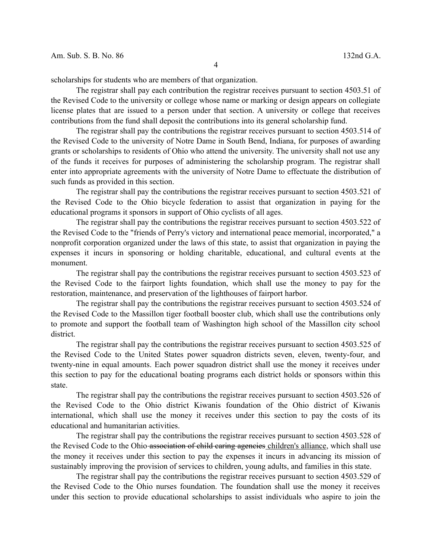scholarships for students who are members of that organization.

The registrar shall pay each contribution the registrar receives pursuant to section 4503.51 of the Revised Code to the university or college whose name or marking or design appears on collegiate license plates that are issued to a person under that section. A university or college that receives contributions from the fund shall deposit the contributions into its general scholarship fund.

The registrar shall pay the contributions the registrar receives pursuant to section 4503.514 of the Revised Code to the university of Notre Dame in South Bend, Indiana, for purposes of awarding grants or scholarships to residents of Ohio who attend the university. The university shall not use any of the funds it receives for purposes of administering the scholarship program. The registrar shall enter into appropriate agreements with the university of Notre Dame to effectuate the distribution of such funds as provided in this section.

The registrar shall pay the contributions the registrar receives pursuant to section 4503.521 of the Revised Code to the Ohio bicycle federation to assist that organization in paying for the educational programs it sponsors in support of Ohio cyclists of all ages.

The registrar shall pay the contributions the registrar receives pursuant to section 4503.522 of the Revised Code to the "friends of Perry's victory and international peace memorial, incorporated," a nonprofit corporation organized under the laws of this state, to assist that organization in paying the expenses it incurs in sponsoring or holding charitable, educational, and cultural events at the monument.

The registrar shall pay the contributions the registrar receives pursuant to section 4503.523 of the Revised Code to the fairport lights foundation, which shall use the money to pay for the restoration, maintenance, and preservation of the lighthouses of fairport harbor.

The registrar shall pay the contributions the registrar receives pursuant to section 4503.524 of the Revised Code to the Massillon tiger football booster club, which shall use the contributions only to promote and support the football team of Washington high school of the Massillon city school district.

The registrar shall pay the contributions the registrar receives pursuant to section 4503.525 of the Revised Code to the United States power squadron districts seven, eleven, twenty-four, and twenty-nine in equal amounts. Each power squadron district shall use the money it receives under this section to pay for the educational boating programs each district holds or sponsors within this state.

The registrar shall pay the contributions the registrar receives pursuant to section 4503.526 of the Revised Code to the Ohio district Kiwanis foundation of the Ohio district of Kiwanis international, which shall use the money it receives under this section to pay the costs of its educational and humanitarian activities.

The registrar shall pay the contributions the registrar receives pursuant to section 4503.528 of the Revised Code to the Ohio-association of child caring agencies children's alliance, which shall use the money it receives under this section to pay the expenses it incurs in advancing its mission of sustainably improving the provision of services to children, young adults, and families in this state.

The registrar shall pay the contributions the registrar receives pursuant to section 4503.529 of the Revised Code to the Ohio nurses foundation. The foundation shall use the money it receives under this section to provide educational scholarships to assist individuals who aspire to join the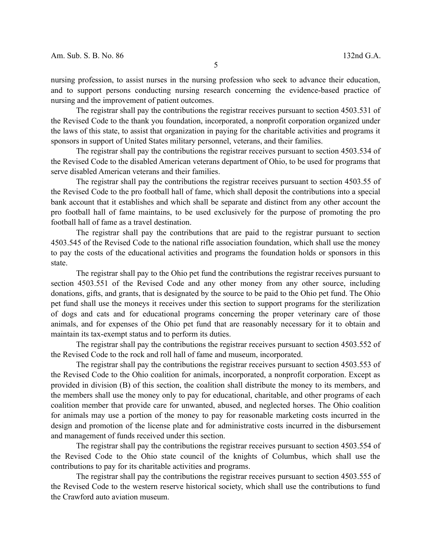The registrar shall pay the contributions the registrar receives pursuant to section 4503.531 of the Revised Code to the thank you foundation, incorporated, a nonprofit corporation organized under the laws of this state, to assist that organization in paying for the charitable activities and programs it sponsors in support of United States military personnel, veterans, and their families.

The registrar shall pay the contributions the registrar receives pursuant to section 4503.534 of the Revised Code to the disabled American veterans department of Ohio, to be used for programs that serve disabled American veterans and their families.

The registrar shall pay the contributions the registrar receives pursuant to section 4503.55 of the Revised Code to the pro football hall of fame, which shall deposit the contributions into a special bank account that it establishes and which shall be separate and distinct from any other account the pro football hall of fame maintains, to be used exclusively for the purpose of promoting the pro football hall of fame as a travel destination.

The registrar shall pay the contributions that are paid to the registrar pursuant to section 4503.545 of the Revised Code to the national rifle association foundation, which shall use the money to pay the costs of the educational activities and programs the foundation holds or sponsors in this state.

The registrar shall pay to the Ohio pet fund the contributions the registrar receives pursuant to section 4503.551 of the Revised Code and any other money from any other source, including donations, gifts, and grants, that is designated by the source to be paid to the Ohio pet fund. The Ohio pet fund shall use the moneys it receives under this section to support programs for the sterilization of dogs and cats and for educational programs concerning the proper veterinary care of those animals, and for expenses of the Ohio pet fund that are reasonably necessary for it to obtain and maintain its tax-exempt status and to perform its duties.

The registrar shall pay the contributions the registrar receives pursuant to section 4503.552 of the Revised Code to the rock and roll hall of fame and museum, incorporated.

The registrar shall pay the contributions the registrar receives pursuant to section 4503.553 of the Revised Code to the Ohio coalition for animals, incorporated, a nonprofit corporation. Except as provided in division (B) of this section, the coalition shall distribute the money to its members, and the members shall use the money only to pay for educational, charitable, and other programs of each coalition member that provide care for unwanted, abused, and neglected horses. The Ohio coalition for animals may use a portion of the money to pay for reasonable marketing costs incurred in the design and promotion of the license plate and for administrative costs incurred in the disbursement and management of funds received under this section.

The registrar shall pay the contributions the registrar receives pursuant to section 4503.554 of the Revised Code to the Ohio state council of the knights of Columbus, which shall use the contributions to pay for its charitable activities and programs.

The registrar shall pay the contributions the registrar receives pursuant to section 4503.555 of the Revised Code to the western reserve historical society, which shall use the contributions to fund the Crawford auto aviation museum.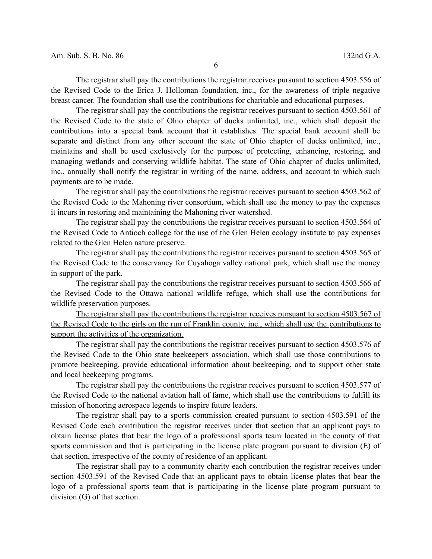The registrar shall pay the contributions the registrar receives pursuant to section 4503.556 of the Revised Code to the Erica J. Holloman foundation, inc., for the awareness of triple negative breast cancer. The foundation shall use the contributions for charitable and educational purposes.

The registrar shall pay the contributions the registrar receives pursuant to section 4503.561 of the Revised Code to the state of Ohio chapter of ducks unlimited, inc., which shall deposit the contributions into a special bank account that it establishes. The special bank account shall be separate and distinct from any other account the state of Ohio chapter of ducks unlimited, inc., maintains and shall be used exclusively for the purpose of protecting, enhancing, restoring, and managing wetlands and conserving wildlife habitat. The state of Ohio chapter of ducks unlimited, inc., annually shall notify the registrar in writing of the name, address, and account to which such payments are to be made.

The registrar shall pay the contributions the registrar receives pursuant to section 4503.562 of the Revised Code to the Mahoning river consortium, which shall use the money to pay the expenses it incurs in restoring and maintaining the Mahoning river watershed.

The registrar shall pay the contributions the registrar receives pursuant to section 4503.564 of the Revised Code to Antioch college for the use of the Glen Helen ecology institute to pay expenses related to the Glen Helen nature preserve.

The registrar shall pay the contributions the registrar receives pursuant to section 4503.565 of the Revised Code to the conservancy for Cuyahoga valley national park, which shall use the money in support of the park.

The registrar shall pay the contributions the registrar receives pursuant to section 4503.566 of the Revised Code to the Ottawa national wildlife refuge, which shall use the contributions for wildlife preservation purposes.

 The registrar shall pay the contributions the registrar receives pursuant to section 4503.567 of the Revised Code to the girls on the run of Franklin county, inc., which shall use the contributions to support the activities of the organization.

The registrar shall pay the contributions the registrar receives pursuant to section 4503.576 of the Revised Code to the Ohio state beekeepers association, which shall use those contributions to promote beekeeping, provide educational information about beekeeping, and to support other state and local beekeeping programs.

The registrar shall pay the contributions the registrar receives pursuant to section 4503.577 of the Revised Code to the national aviation hall of fame, which shall use the contributions to fulfill its mission of honoring aerospace legends to inspire future leaders.

The registrar shall pay to a sports commission created pursuant to section 4503.591 of the Revised Code each contribution the registrar receives under that section that an applicant pays to obtain license plates that bear the logo of a professional sports team located in the county of that sports commission and that is participating in the license plate program pursuant to division (E) of that section, irrespective of the county of residence of an applicant.

The registrar shall pay to a community charity each contribution the registrar receives under section 4503.591 of the Revised Code that an applicant pays to obtain license plates that bear the logo of a professional sports team that is participating in the license plate program pursuant to division (G) of that section.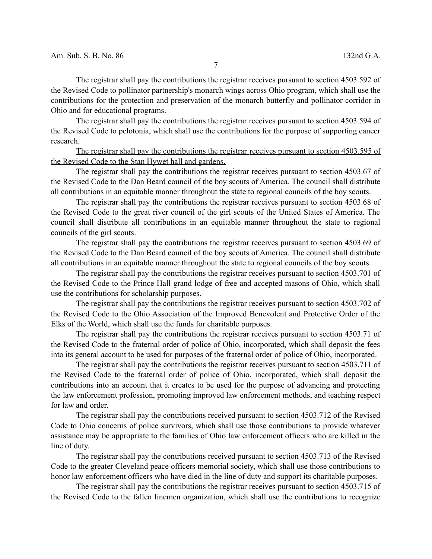The registrar shall pay the contributions the registrar receives pursuant to section 4503.592 of the Revised Code to pollinator partnership's monarch wings across Ohio program, which shall use the contributions for the protection and preservation of the monarch butterfly and pollinator corridor in Ohio and for educational programs.

The registrar shall pay the contributions the registrar receives pursuant to section 4503.594 of the Revised Code to pelotonia, which shall use the contributions for the purpose of supporting cancer research.

The registrar shall pay the contributions the registrar receives pursuant to section 4503.595 of the Revised Code to the Stan Hywet hall and gardens.

The registrar shall pay the contributions the registrar receives pursuant to section 4503.67 of the Revised Code to the Dan Beard council of the boy scouts of America. The council shall distribute all contributions in an equitable manner throughout the state to regional councils of the boy scouts.

The registrar shall pay the contributions the registrar receives pursuant to section 4503.68 of the Revised Code to the great river council of the girl scouts of the United States of America. The council shall distribute all contributions in an equitable manner throughout the state to regional councils of the girl scouts.

The registrar shall pay the contributions the registrar receives pursuant to section 4503.69 of the Revised Code to the Dan Beard council of the boy scouts of America. The council shall distribute all contributions in an equitable manner throughout the state to regional councils of the boy scouts.

The registrar shall pay the contributions the registrar receives pursuant to section 4503.701 of the Revised Code to the Prince Hall grand lodge of free and accepted masons of Ohio, which shall use the contributions for scholarship purposes.

The registrar shall pay the contributions the registrar receives pursuant to section 4503.702 of the Revised Code to the Ohio Association of the Improved Benevolent and Protective Order of the Elks of the World, which shall use the funds for charitable purposes.

The registrar shall pay the contributions the registrar receives pursuant to section 4503.71 of the Revised Code to the fraternal order of police of Ohio, incorporated, which shall deposit the fees into its general account to be used for purposes of the fraternal order of police of Ohio, incorporated.

The registrar shall pay the contributions the registrar receives pursuant to section 4503.711 of the Revised Code to the fraternal order of police of Ohio, incorporated, which shall deposit the contributions into an account that it creates to be used for the purpose of advancing and protecting the law enforcement profession, promoting improved law enforcement methods, and teaching respect for law and order.

The registrar shall pay the contributions received pursuant to section 4503.712 of the Revised Code to Ohio concerns of police survivors, which shall use those contributions to provide whatever assistance may be appropriate to the families of Ohio law enforcement officers who are killed in the line of duty.

The registrar shall pay the contributions received pursuant to section 4503.713 of the Revised Code to the greater Cleveland peace officers memorial society, which shall use those contributions to honor law enforcement officers who have died in the line of duty and support its charitable purposes.

The registrar shall pay the contributions the registrar receives pursuant to section 4503.715 of the Revised Code to the fallen linemen organization, which shall use the contributions to recognize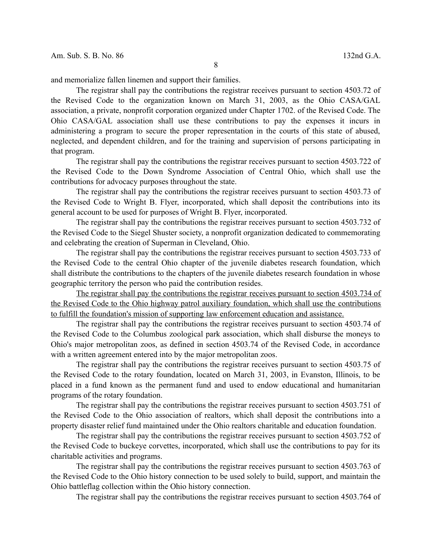and memorialize fallen linemen and support their families.

The registrar shall pay the contributions the registrar receives pursuant to section 4503.72 of the Revised Code to the organization known on March 31, 2003, as the Ohio CASA/GAL association, a private, nonprofit corporation organized under Chapter 1702. of the Revised Code. The Ohio CASA/GAL association shall use these contributions to pay the expenses it incurs in administering a program to secure the proper representation in the courts of this state of abused, neglected, and dependent children, and for the training and supervision of persons participating in that program.

The registrar shall pay the contributions the registrar receives pursuant to section 4503.722 of the Revised Code to the Down Syndrome Association of Central Ohio, which shall use the contributions for advocacy purposes throughout the state.

The registrar shall pay the contributions the registrar receives pursuant to section 4503.73 of the Revised Code to Wright B. Flyer, incorporated, which shall deposit the contributions into its general account to be used for purposes of Wright B. Flyer, incorporated.

The registrar shall pay the contributions the registrar receives pursuant to section 4503.732 of the Revised Code to the Siegel Shuster society, a nonprofit organization dedicated to commemorating and celebrating the creation of Superman in Cleveland, Ohio.

The registrar shall pay the contributions the registrar receives pursuant to section 4503.733 of the Revised Code to the central Ohio chapter of the juvenile diabetes research foundation, which shall distribute the contributions to the chapters of the juvenile diabetes research foundation in whose geographic territory the person who paid the contribution resides.

 The registrar shall pay the contributions the registrar receives pursuant to section 4503.734 of the Revised Code to the Ohio highway patrol auxiliary foundation, which shall use the contributions to fulfill the foundation's mission of supporting law enforcement education and assistance.

The registrar shall pay the contributions the registrar receives pursuant to section 4503.74 of the Revised Code to the Columbus zoological park association, which shall disburse the moneys to Ohio's major metropolitan zoos, as defined in section 4503.74 of the Revised Code, in accordance with a written agreement entered into by the major metropolitan zoos.

The registrar shall pay the contributions the registrar receives pursuant to section 4503.75 of the Revised Code to the rotary foundation, located on March 31, 2003, in Evanston, Illinois, to be placed in a fund known as the permanent fund and used to endow educational and humanitarian programs of the rotary foundation.

The registrar shall pay the contributions the registrar receives pursuant to section 4503.751 of the Revised Code to the Ohio association of realtors, which shall deposit the contributions into a property disaster relief fund maintained under the Ohio realtors charitable and education foundation.

The registrar shall pay the contributions the registrar receives pursuant to section 4503.752 of the Revised Code to buckeye corvettes, incorporated, which shall use the contributions to pay for its charitable activities and programs.

The registrar shall pay the contributions the registrar receives pursuant to section 4503.763 of the Revised Code to the Ohio history connection to be used solely to build, support, and maintain the Ohio battleflag collection within the Ohio history connection.

The registrar shall pay the contributions the registrar receives pursuant to section 4503.764 of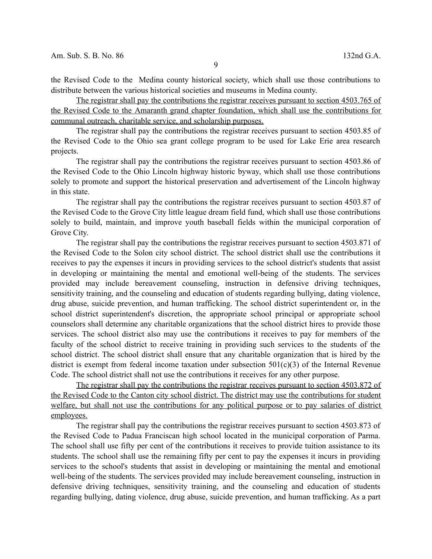the Revised Code to the Medina county historical society, which shall use those contributions to distribute between the various historical societies and museums in Medina county.

 The registrar shall pay the contributions the registrar receives pursuant to section 4503.765 of the Revised Code to the Amaranth grand chapter foundation, which shall use the contributions for communal outreach, charitable service, and scholarship purposes.

The registrar shall pay the contributions the registrar receives pursuant to section 4503.85 of the Revised Code to the Ohio sea grant college program to be used for Lake Erie area research projects.

The registrar shall pay the contributions the registrar receives pursuant to section 4503.86 of the Revised Code to the Ohio Lincoln highway historic byway, which shall use those contributions solely to promote and support the historical preservation and advertisement of the Lincoln highway in this state.

The registrar shall pay the contributions the registrar receives pursuant to section 4503.87 of the Revised Code to the Grove City little league dream field fund, which shall use those contributions solely to build, maintain, and improve youth baseball fields within the municipal corporation of Grove City.

The registrar shall pay the contributions the registrar receives pursuant to section 4503.871 of the Revised Code to the Solon city school district. The school district shall use the contributions it receives to pay the expenses it incurs in providing services to the school district's students that assist in developing or maintaining the mental and emotional well-being of the students. The services provided may include bereavement counseling, instruction in defensive driving techniques, sensitivity training, and the counseling and education of students regarding bullying, dating violence, drug abuse, suicide prevention, and human trafficking. The school district superintendent or, in the school district superintendent's discretion, the appropriate school principal or appropriate school counselors shall determine any charitable organizations that the school district hires to provide those services. The school district also may use the contributions it receives to pay for members of the faculty of the school district to receive training in providing such services to the students of the school district. The school district shall ensure that any charitable organization that is hired by the district is exempt from federal income taxation under subsection  $501(c)(3)$  of the Internal Revenue Code. The school district shall not use the contributions it receives for any other purpose.

 The registrar shall pay the contributions the registrar receives pursuant to section 4503.872 of the Revised Code to the Canton city school district. The district may use the contributions for student welfare, but shall not use the contributions for any political purpose or to pay salaries of district employees.

The registrar shall pay the contributions the registrar receives pursuant to section 4503.873 of the Revised Code to Padua Franciscan high school located in the municipal corporation of Parma. The school shall use fifty per cent of the contributions it receives to provide tuition assistance to its students. The school shall use the remaining fifty per cent to pay the expenses it incurs in providing services to the school's students that assist in developing or maintaining the mental and emotional well-being of the students. The services provided may include bereavement counseling, instruction in defensive driving techniques, sensitivity training, and the counseling and education of students regarding bullying, dating violence, drug abuse, suicide prevention, and human trafficking. As a part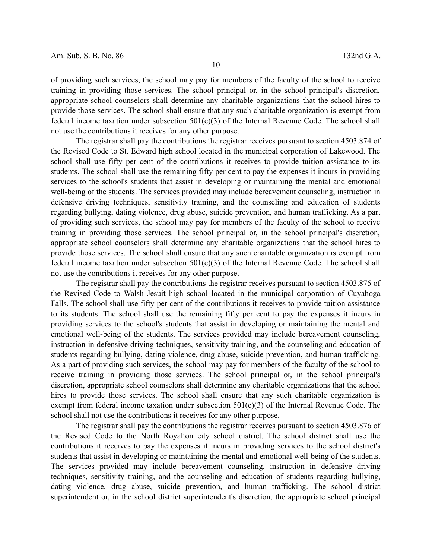of providing such services, the school may pay for members of the faculty of the school to receive training in providing those services. The school principal or, in the school principal's discretion, appropriate school counselors shall determine any charitable organizations that the school hires to provide those services. The school shall ensure that any such charitable organization is exempt from federal income taxation under subsection  $501(c)(3)$  of the Internal Revenue Code. The school shall not use the contributions it receives for any other purpose.

The registrar shall pay the contributions the registrar receives pursuant to section 4503.874 of the Revised Code to St. Edward high school located in the municipal corporation of Lakewood. The school shall use fifty per cent of the contributions it receives to provide tuition assistance to its students. The school shall use the remaining fifty per cent to pay the expenses it incurs in providing services to the school's students that assist in developing or maintaining the mental and emotional well-being of the students. The services provided may include bereavement counseling, instruction in defensive driving techniques, sensitivity training, and the counseling and education of students regarding bullying, dating violence, drug abuse, suicide prevention, and human trafficking. As a part of providing such services, the school may pay for members of the faculty of the school to receive training in providing those services. The school principal or, in the school principal's discretion, appropriate school counselors shall determine any charitable organizations that the school hires to provide those services. The school shall ensure that any such charitable organization is exempt from federal income taxation under subsection  $501(c)(3)$  of the Internal Revenue Code. The school shall not use the contributions it receives for any other purpose.

The registrar shall pay the contributions the registrar receives pursuant to section 4503.875 of the Revised Code to Walsh Jesuit high school located in the municipal corporation of Cuyahoga Falls. The school shall use fifty per cent of the contributions it receives to provide tuition assistance to its students. The school shall use the remaining fifty per cent to pay the expenses it incurs in providing services to the school's students that assist in developing or maintaining the mental and emotional well-being of the students. The services provided may include bereavement counseling, instruction in defensive driving techniques, sensitivity training, and the counseling and education of students regarding bullying, dating violence, drug abuse, suicide prevention, and human trafficking. As a part of providing such services, the school may pay for members of the faculty of the school to receive training in providing those services. The school principal or, in the school principal's discretion, appropriate school counselors shall determine any charitable organizations that the school hires to provide those services. The school shall ensure that any such charitable organization is exempt from federal income taxation under subsection  $501(c)(3)$  of the Internal Revenue Code. The school shall not use the contributions it receives for any other purpose.

The registrar shall pay the contributions the registrar receives pursuant to section 4503.876 of the Revised Code to the North Royalton city school district. The school district shall use the contributions it receives to pay the expenses it incurs in providing services to the school district's students that assist in developing or maintaining the mental and emotional well-being of the students. The services provided may include bereavement counseling, instruction in defensive driving techniques, sensitivity training, and the counseling and education of students regarding bullying, dating violence, drug abuse, suicide prevention, and human trafficking. The school district superintendent or, in the school district superintendent's discretion, the appropriate school principal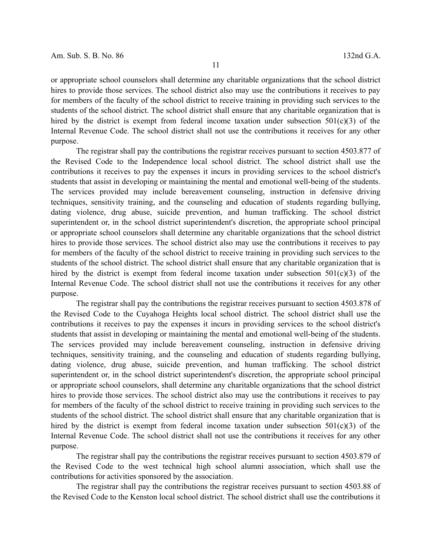or appropriate school counselors shall determine any charitable organizations that the school district hires to provide those services. The school district also may use the contributions it receives to pay for members of the faculty of the school district to receive training in providing such services to the students of the school district. The school district shall ensure that any charitable organization that is hired by the district is exempt from federal income taxation under subsection  $501(c)(3)$  of the Internal Revenue Code. The school district shall not use the contributions it receives for any other purpose.

The registrar shall pay the contributions the registrar receives pursuant to section 4503.877 of the Revised Code to the Independence local school district. The school district shall use the contributions it receives to pay the expenses it incurs in providing services to the school district's students that assist in developing or maintaining the mental and emotional well-being of the students. The services provided may include bereavement counseling, instruction in defensive driving techniques, sensitivity training, and the counseling and education of students regarding bullying, dating violence, drug abuse, suicide prevention, and human trafficking. The school district superintendent or, in the school district superintendent's discretion, the appropriate school principal or appropriate school counselors shall determine any charitable organizations that the school district hires to provide those services. The school district also may use the contributions it receives to pay for members of the faculty of the school district to receive training in providing such services to the students of the school district. The school district shall ensure that any charitable organization that is hired by the district is exempt from federal income taxation under subsection  $501(c)(3)$  of the Internal Revenue Code. The school district shall not use the contributions it receives for any other purpose.

The registrar shall pay the contributions the registrar receives pursuant to section 4503.878 of the Revised Code to the Cuyahoga Heights local school district. The school district shall use the contributions it receives to pay the expenses it incurs in providing services to the school district's students that assist in developing or maintaining the mental and emotional well-being of the students. The services provided may include bereavement counseling, instruction in defensive driving techniques, sensitivity training, and the counseling and education of students regarding bullying, dating violence, drug abuse, suicide prevention, and human trafficking. The school district superintendent or, in the school district superintendent's discretion, the appropriate school principal or appropriate school counselors, shall determine any charitable organizations that the school district hires to provide those services. The school district also may use the contributions it receives to pay for members of the faculty of the school district to receive training in providing such services to the students of the school district. The school district shall ensure that any charitable organization that is hired by the district is exempt from federal income taxation under subsection  $501(c)(3)$  of the Internal Revenue Code. The school district shall not use the contributions it receives for any other purpose.

The registrar shall pay the contributions the registrar receives pursuant to section 4503.879 of the Revised Code to the west technical high school alumni association, which shall use the contributions for activities sponsored by the association.

The registrar shall pay the contributions the registrar receives pursuant to section 4503.88 of the Revised Code to the Kenston local school district. The school district shall use the contributions it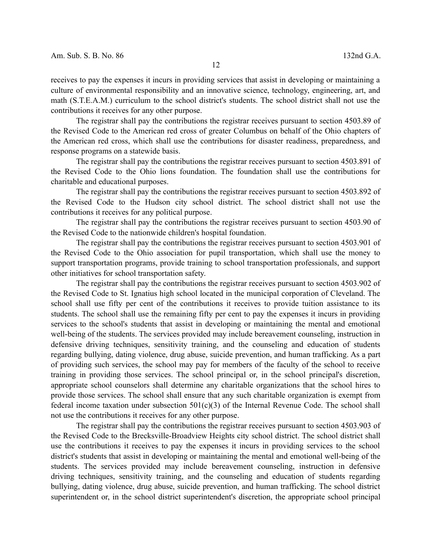receives to pay the expenses it incurs in providing services that assist in developing or maintaining a culture of environmental responsibility and an innovative science, technology, engineering, art, and math (S.T.E.A.M.) curriculum to the school district's students. The school district shall not use the contributions it receives for any other purpose.

The registrar shall pay the contributions the registrar receives pursuant to section 4503.89 of the Revised Code to the American red cross of greater Columbus on behalf of the Ohio chapters of the American red cross, which shall use the contributions for disaster readiness, preparedness, and response programs on a statewide basis.

The registrar shall pay the contributions the registrar receives pursuant to section 4503.891 of the Revised Code to the Ohio lions foundation. The foundation shall use the contributions for charitable and educational purposes.

The registrar shall pay the contributions the registrar receives pursuant to section 4503.892 of the Revised Code to the Hudson city school district. The school district shall not use the contributions it receives for any political purpose.

The registrar shall pay the contributions the registrar receives pursuant to section 4503.90 of the Revised Code to the nationwide children's hospital foundation.

The registrar shall pay the contributions the registrar receives pursuant to section 4503.901 of the Revised Code to the Ohio association for pupil transportation, which shall use the money to support transportation programs, provide training to school transportation professionals, and support other initiatives for school transportation safety.

The registrar shall pay the contributions the registrar receives pursuant to section 4503.902 of the Revised Code to St. Ignatius high school located in the municipal corporation of Cleveland. The school shall use fifty per cent of the contributions it receives to provide tuition assistance to its students. The school shall use the remaining fifty per cent to pay the expenses it incurs in providing services to the school's students that assist in developing or maintaining the mental and emotional well-being of the students. The services provided may include bereavement counseling, instruction in defensive driving techniques, sensitivity training, and the counseling and education of students regarding bullying, dating violence, drug abuse, suicide prevention, and human trafficking. As a part of providing such services, the school may pay for members of the faculty of the school to receive training in providing those services. The school principal or, in the school principal's discretion, appropriate school counselors shall determine any charitable organizations that the school hires to provide those services. The school shall ensure that any such charitable organization is exempt from federal income taxation under subsection  $501(c)(3)$  of the Internal Revenue Code. The school shall not use the contributions it receives for any other purpose.

The registrar shall pay the contributions the registrar receives pursuant to section 4503.903 of the Revised Code to the Brecksville-Broadview Heights city school district. The school district shall use the contributions it receives to pay the expenses it incurs in providing services to the school district's students that assist in developing or maintaining the mental and emotional well-being of the students. The services provided may include bereavement counseling, instruction in defensive driving techniques, sensitivity training, and the counseling and education of students regarding bullying, dating violence, drug abuse, suicide prevention, and human trafficking. The school district superintendent or, in the school district superintendent's discretion, the appropriate school principal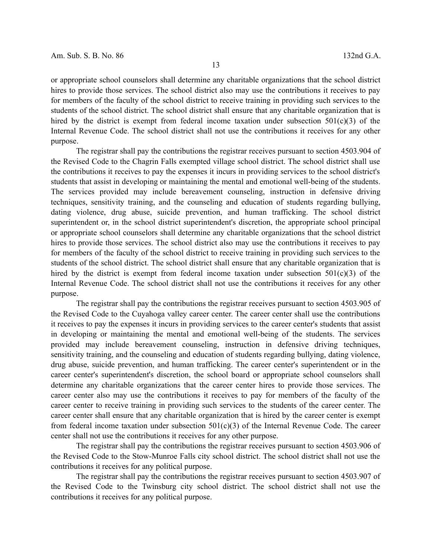or appropriate school counselors shall determine any charitable organizations that the school district hires to provide those services. The school district also may use the contributions it receives to pay for members of the faculty of the school district to receive training in providing such services to the students of the school district. The school district shall ensure that any charitable organization that is hired by the district is exempt from federal income taxation under subsection 501(c)(3) of the Internal Revenue Code. The school district shall not use the contributions it receives for any other purpose.

The registrar shall pay the contributions the registrar receives pursuant to section 4503.904 of the Revised Code to the Chagrin Falls exempted village school district. The school district shall use the contributions it receives to pay the expenses it incurs in providing services to the school district's students that assist in developing or maintaining the mental and emotional well-being of the students. The services provided may include bereavement counseling, instruction in defensive driving techniques, sensitivity training, and the counseling and education of students regarding bullying, dating violence, drug abuse, suicide prevention, and human trafficking. The school district superintendent or, in the school district superintendent's discretion, the appropriate school principal or appropriate school counselors shall determine any charitable organizations that the school district hires to provide those services. The school district also may use the contributions it receives to pay for members of the faculty of the school district to receive training in providing such services to the students of the school district. The school district shall ensure that any charitable organization that is hired by the district is exempt from federal income taxation under subsection  $501(c)(3)$  of the Internal Revenue Code. The school district shall not use the contributions it receives for any other purpose.

The registrar shall pay the contributions the registrar receives pursuant to section 4503.905 of the Revised Code to the Cuyahoga valley career center. The career center shall use the contributions it receives to pay the expenses it incurs in providing services to the career center's students that assist in developing or maintaining the mental and emotional well-being of the students. The services provided may include bereavement counseling, instruction in defensive driving techniques, sensitivity training, and the counseling and education of students regarding bullying, dating violence, drug abuse, suicide prevention, and human trafficking. The career center's superintendent or in the career center's superintendent's discretion, the school board or appropriate school counselors shall determine any charitable organizations that the career center hires to provide those services. The career center also may use the contributions it receives to pay for members of the faculty of the career center to receive training in providing such services to the students of the career center. The career center shall ensure that any charitable organization that is hired by the career center is exempt from federal income taxation under subsection  $501(c)(3)$  of the Internal Revenue Code. The career center shall not use the contributions it receives for any other purpose.

The registrar shall pay the contributions the registrar receives pursuant to section 4503.906 of the Revised Code to the Stow-Munroe Falls city school district. The school district shall not use the contributions it receives for any political purpose.

The registrar shall pay the contributions the registrar receives pursuant to section 4503.907 of the Revised Code to the Twinsburg city school district. The school district shall not use the contributions it receives for any political purpose.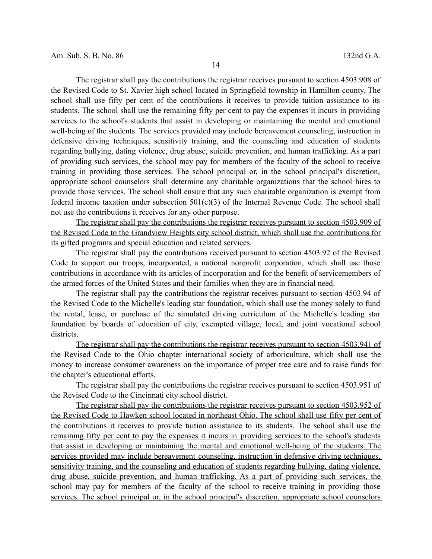The registrar shall pay the contributions the registrar receives pursuant to section 4503.908 of the Revised Code to St. Xavier high school located in Springfield township in Hamilton county. The school shall use fifty per cent of the contributions it receives to provide tuition assistance to its students. The school shall use the remaining fifty per cent to pay the expenses it incurs in providing services to the school's students that assist in developing or maintaining the mental and emotional well-being of the students. The services provided may include bereavement counseling, instruction in defensive driving techniques, sensitivity training, and the counseling and education of students regarding bullying, dating violence, drug abuse, suicide prevention, and human trafficking. As a part of providing such services, the school may pay for members of the faculty of the school to receive training in providing those services. The school principal or, in the school principal's discretion, appropriate school counselors shall determine any charitable organizations that the school hires to provide those services. The school shall ensure that any such charitable organization is exempt from federal income taxation under subsection 501(c)(3) of the Internal Revenue Code. The school shall not use the contributions it receives for any other purpose.

 The registrar shall pay the contributions the registrar receives pursuant to section 4503.909 of the Revised Code to the Grandview Heights city school district, which shall use the contributions for its gifted programs and special education and related services.

The registrar shall pay the contributions received pursuant to section 4503.92 of the Revised Code to support our troops, incorporated, a national nonprofit corporation, which shall use those contributions in accordance with its articles of incorporation and for the benefit of servicemembers of the armed forces of the United States and their families when they are in financial need.

The registrar shall pay the contributions the registrar receives pursuant to section 4503.94 of the Revised Code to the Michelle's leading star foundation, which shall use the money solely to fund the rental, lease, or purchase of the simulated driving curriculum of the Michelle's leading star foundation by boards of education of city, exempted village, local, and joint vocational school districts.

 The registrar shall pay the contributions the registrar receives pursuant to section 4503.941 of the Revised Code to the Ohio chapter international society of arboriculture, which shall use the money to increase consumer awareness on the importance of proper tree care and to raise funds for the chapter's educational efforts.

The registrar shall pay the contributions the registrar receives pursuant to section 4503.951 of the Revised Code to the Cincinnati city school district.

 The registrar shall pay the contributions the registrar receives pursuant to section 4503.952 of the Revised Code to Hawken school located in northeast Ohio. The school shall use fifty per cent of the contributions it receives to provide tuition assistance to its students. The school shall use the remaining fifty per cent to pay the expenses it incurs in providing services to the school's students that assist in developing or maintaining the mental and emotional well-being of the students. The services provided may include bereavement counseling, instruction in defensive driving techniques, sensitivity training, and the counseling and education of students regarding bullying, dating violence, drug abuse, suicide prevention, and human trafficking. As a part of providing such services, the school may pay for members of the faculty of the school to receive training in providing those services. The school principal or, in the school principal's discretion, appropriate school counselors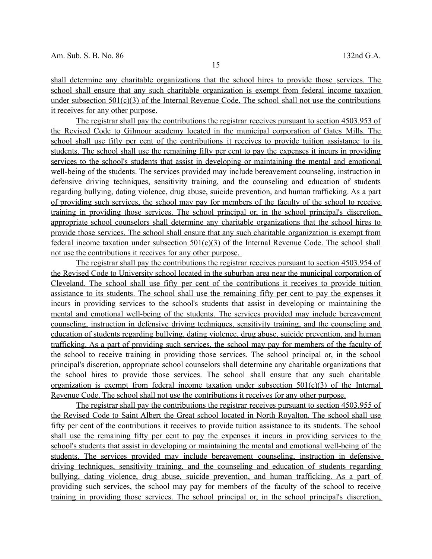shall determine any charitable organizations that the school hires to provide those services. The school shall ensure that any such charitable organization is exempt from federal income taxation under subsection  $501(c)(3)$  of the Internal Revenue Code. The school shall not use the contributions it receives for any other purpose.

 The registrar shall pay the contributions the registrar receives pursuant to section 4503.953 of the Revised Code to Gilmour academy located in the municipal corporation of Gates Mills. The school shall use fifty per cent of the contributions it receives to provide tuition assistance to its students. The school shall use the remaining fifty per cent to pay the expenses it incurs in providing services to the school's students that assist in developing or maintaining the mental and emotional well-being of the students. The services provided may include bereavement counseling, instruction in defensive driving techniques, sensitivity training, and the counseling and education of students regarding bullying, dating violence, drug abuse, suicide prevention, and human trafficking. As a part of providing such services, the school may pay for members of the faculty of the school to receive training in providing those services. The school principal or, in the school principal's discretion, appropriate school counselors shall determine any charitable organizations that the school hires to provide those services. The school shall ensure that any such charitable organization is exempt from federal income taxation under subsection 501(c)(3) of the Internal Revenue Code. The school shall not use the contributions it receives for any other purpose.

 The registrar shall pay the contributions the registrar receives pursuant to section 4503.954 of the Revised Code to University school located in the suburban area near the municipal corporation of Cleveland. The school shall use fifty per cent of the contributions it receives to provide tuition assistance to its students. The school shall use the remaining fifty per cent to pay the expenses it incurs in providing services to the school's students that assist in developing or maintaining the mental and emotional well-being of the students. The services provided may include bereavement counseling, instruction in defensive driving techniques, sensitivity training, and the counseling and education of students regarding bullying, dating violence, drug abuse, suicide prevention, and human trafficking. As a part of providing such services, the school may pay for members of the faculty of the school to receive training in providing those services. The school principal or, in the school principal's discretion, appropriate school counselors shall determine any charitable organizations that the school hires to provide those services. The school shall ensure that any such charitable organization is exempt from federal income taxation under subsection  $501(c)(3)$  of the Internal Revenue Code. The school shall not use the contributions it receives for any other purpose.

 The registrar shall pay the contributions the registrar receives pursuant to section 4503.955 of the Revised Code to Saint Albert the Great school located in North Royalton. The school shall use fifty per cent of the contributions it receives to provide tuition assistance to its students. The school shall use the remaining fifty per cent to pay the expenses it incurs in providing services to the school's students that assist in developing or maintaining the mental and emotional well-being of the students. The services provided may include bereavement counseling, instruction in defensive driving techniques, sensitivity training, and the counseling and education of students regarding bullying, dating violence, drug abuse, suicide prevention, and human trafficking. As a part of providing such services, the school may pay for members of the faculty of the school to receive training in providing those services. The school principal or, in the school principal's discretion,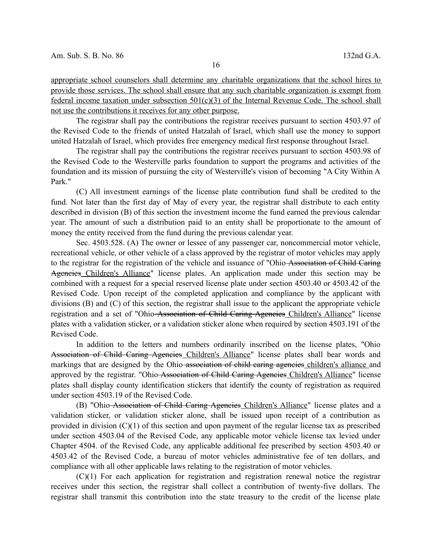appropriate school counselors shall determine any charitable organizations that the school hires to provide those services. The school shall ensure that any such charitable organization is exempt from federal income taxation under subsection  $501(c)(3)$  of the Internal Revenue Code. The school shall not use the contributions it receives for any other purpose.

The registrar shall pay the contributions the registrar receives pursuant to section 4503.97 of the Revised Code to the friends of united Hatzalah of Israel, which shall use the money to support united Hatzalah of Israel, which provides free emergency medical first response throughout Israel.

The registrar shall pay the contributions the registrar receives pursuant to section 4503.98 of the Revised Code to the Westerville parks foundation to support the programs and activities of the foundation and its mission of pursuing the city of Westerville's vision of becoming "A City Within A Park."

(C) All investment earnings of the license plate contribution fund shall be credited to the fund. Not later than the first day of May of every year, the registrar shall distribute to each entity described in division (B) of this section the investment income the fund earned the previous calendar year. The amount of such a distribution paid to an entity shall be proportionate to the amount of money the entity received from the fund during the previous calendar year.

Sec. 4503.528. (A) The owner or lessee of any passenger car, noncommercial motor vehicle, recreational vehicle, or other vehicle of a class approved by the registrar of motor vehicles may apply to the registrar for the registration of the vehicle and issuance of "Ohio Association of Child Caring Agencies Children's Alliance" license plates. An application made under this section may be combined with a request for a special reserved license plate under section 4503.40 or 4503.42 of the Revised Code. Upon receipt of the completed application and compliance by the applicant with divisions (B) and (C) of this section, the registrar shall issue to the applicant the appropriate vehicle registration and a set of "Ohio Association of Child Caring Agencies Children's Alliance" license plates with a validation sticker, or a validation sticker alone when required by section 4503.191 of the Revised Code.

In addition to the letters and numbers ordinarily inscribed on the license plates, "Ohio Association of Child Caring Agencies Children's Alliance" license plates shall bear words and markings that are designed by the Ohio association of child caring agencies children's alliance and approved by the registrar. "Ohio Association of Child Caring Ageneies Children's Alliance" license plates shall display county identification stickers that identify the county of registration as required under section 4503.19 of the Revised Code.

(B) "Ohio Association of Child Caring Agencies Children's Alliance" license plates and a validation sticker, or validation sticker alone, shall be issued upon receipt of a contribution as provided in division  $(C)(1)$  of this section and upon payment of the regular license tax as prescribed under section 4503.04 of the Revised Code, any applicable motor vehicle license tax levied under Chapter 4504. of the Revised Code, any applicable additional fee prescribed by section 4503.40 or 4503.42 of the Revised Code, a bureau of motor vehicles administrative fee of ten dollars, and compliance with all other applicable laws relating to the registration of motor vehicles.

(C)(1) For each application for registration and registration renewal notice the registrar receives under this section, the registrar shall collect a contribution of twenty-five dollars. The registrar shall transmit this contribution into the state treasury to the credit of the license plate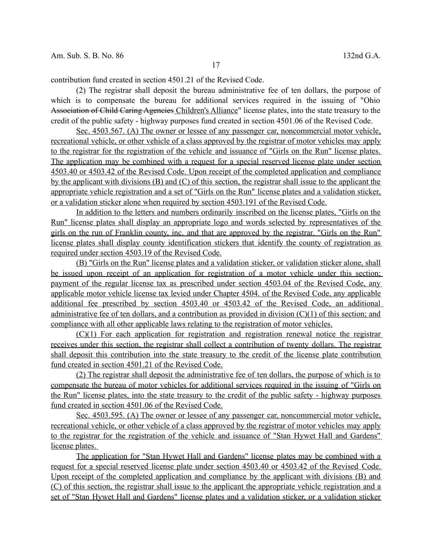contribution fund created in section 4501.21 of the Revised Code.

(2) The registrar shall deposit the bureau administrative fee of ten dollars, the purpose of which is to compensate the bureau for additional services required in the issuing of "Ohio Association of Child Caring Agencies Children's Alliance" license plates, into the state treasury to the credit of the public safety - highway purposes fund created in section 4501.06 of the Revised Code.

 Sec. 4503.567. (A) The owner or lessee of any passenger car, noncommercial motor vehicle, recreational vehicle, or other vehicle of a class approved by the registrar of motor vehicles may apply to the registrar for the registration of the vehicle and issuance of "Girls on the Run" license plates. The application may be combined with a request for a special reserved license plate under section 4503.40 or 4503.42 of the Revised Code. Upon receipt of the completed application and compliance by the applicant with divisions (B) and (C) of this section, the registrar shall issue to the applicant the appropriate vehicle registration and a set of "Girls on the Run" license plates and a validation sticker, or a validation sticker alone when required by section 4503.191 of the Revised Code.

 In addition to the letters and numbers ordinarily inscribed on the license plates, "Girls on the Run" license plates shall display an appropriate logo and words selected by representatives of the girls on the run of Franklin county, inc. and that are approved by the registrar. "Girls on the Run" license plates shall display county identification stickers that identify the county of registration as required under section 4503.19 of the Revised Code.

 (B) "Girls on the Run" license plates and a validation sticker, or validation sticker alone, shall be issued upon receipt of an application for registration of a motor vehicle under this section; payment of the regular license tax as prescribed under section 4503.04 of the Revised Code, any applicable motor vehicle license tax levied under Chapter 4504. of the Revised Code, any applicable additional fee prescribed by section 4503.40 or 4503.42 of the Revised Code, an additional administrative fee of ten dollars, and a contribution as provided in division  $(C)(1)$  of this section; and compliance with all other applicable laws relating to the registration of motor vehicles.

 (C)(1) For each application for registration and registration renewal notice the registrar receives under this section, the registrar shall collect a contribution of twenty dollars. The registrar shall deposit this contribution into the state treasury to the credit of the license plate contribution fund created in section 4501.21 of the Revised Code.

 (2) The registrar shall deposit the administrative fee of ten dollars, the purpose of which is to compensate the bureau of motor vehicles for additional services required in the issuing of "Girls on the Run" license plates, into the state treasury to the credit of the public safety - highway purposes fund created in section 4501.06 of the Revised Code.

 Sec. 4503.595. (A) The owner or lessee of any passenger car, noncommercial motor vehicle, recreational vehicle, or other vehicle of a class approved by the registrar of motor vehicles may apply to the registrar for the registration of the vehicle and issuance of "Stan Hywet Hall and Gardens" license plates.

 The application for "Stan Hywet Hall and Gardens" license plates may be combined with a request for a special reserved license plate under section 4503.40 or 4503.42 of the Revised Code. Upon receipt of the completed application and compliance by the applicant with divisions (B) and (C) of this section, the registrar shall issue to the applicant the appropriate vehicle registration and a set of "Stan Hywet Hall and Gardens" license plates and a validation sticker, or a validation sticker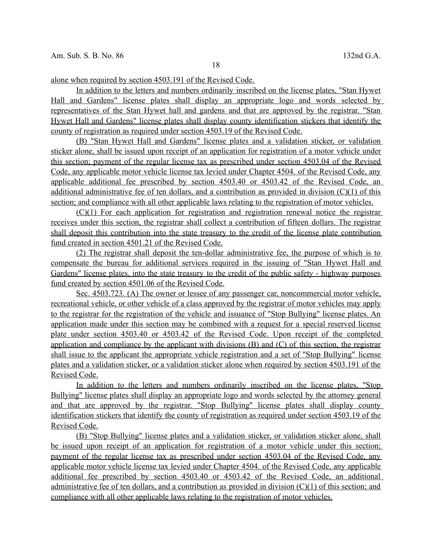alone when required by section 4503.191 of the Revised Code.

 In addition to the letters and numbers ordinarily inscribed on the license plates, "Stan Hywet Hall and Gardens" license plates shall display an appropriate logo and words selected by representatives of the Stan Hywet hall and gardens and that are approved by the registrar. "Stan Hywet Hall and Gardens" license plates shall display county identification stickers that identify the county of registration as required under section 4503.19 of the Revised Code.

 (B) "Stan Hywet Hall and Gardens" license plates and a validation sticker, or validation sticker alone, shall be issued upon receipt of an application for registration of a motor vehicle under this section; payment of the regular license tax as prescribed under section 4503.04 of the Revised Code, any applicable motor vehicle license tax levied under Chapter 4504. of the Revised Code, any applicable additional fee prescribed by section 4503.40 or 4503.42 of the Revised Code, an additional administrative fee of ten dollars, and a contribution as provided in division  $(C)(1)$  of this section; and compliance with all other applicable laws relating to the registration of motor vehicles.

 $(C)(1)$  For each application for registration and registration renewal notice the registrar receives under this section, the registrar shall collect a contribution of fifteen dollars. The registrar shall deposit this contribution into the state treasury to the credit of the license plate contribution fund created in section 4501.21 of the Revised Code.

 (2) The registrar shall deposit the ten-dollar administrative fee, the purpose of which is to compensate the bureau for additional services required in the issuing of "Stan Hywet Hall and Gardens" license plates, into the state treasury to the credit of the public safety - highway purposes fund created by section 4501.06 of the Revised Code.

 Sec. 4503.723. (A) The owner or lessee of any passenger car, noncommercial motor vehicle, recreational vehicle, or other vehicle of a class approved by the registrar of motor vehicles may apply to the registrar for the registration of the vehicle and issuance of "Stop Bullying" license plates. An application made under this section may be combined with a request for a special reserved license plate under section 4503.40 or 4503.42 of the Revised Code. Upon receipt of the completed application and compliance by the applicant with divisions (B) and (C) of this section, the registrar shall issue to the applicant the appropriate vehicle registration and a set of "Stop Bullying" license plates and a validation sticker, or a validation sticker alone when required by section 4503.191 of the Revised Code.

 In addition to the letters and numbers ordinarily inscribed on the license plates, "Stop Bullying" license plates shall display an appropriate logo and words selected by the attorney general and that are approved by the registrar. "Stop Bullying" license plates shall display county identification stickers that identify the county of registration as required under section 4503.19 of the Revised Code.

 (B) "Stop Bullying" license plates and a validation sticker, or validation sticker alone, shall be issued upon receipt of an application for registration of a motor vehicle under this section; payment of the regular license tax as prescribed under section 4503.04 of the Revised Code, any applicable motor vehicle license tax levied under Chapter 4504. of the Revised Code, any applicable additional fee prescribed by section 4503.40 or 4503.42 of the Revised Code, an additional administrative fee of ten dollars, and a contribution as provided in division  $(C)(1)$  of this section; and compliance with all other applicable laws relating to the registration of motor vehicles.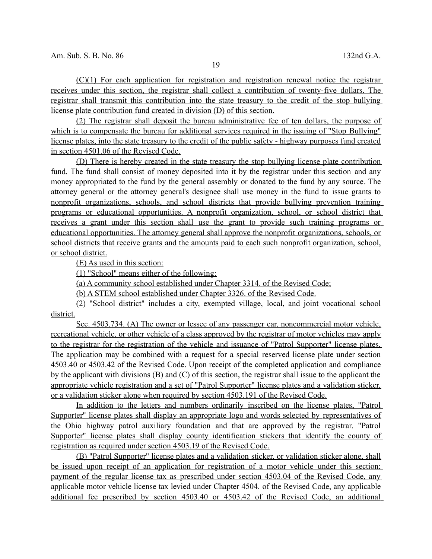(C)(1) For each application for registration and registration renewal notice the registrar receives under this section, the registrar shall collect a contribution of twenty-five dollars. The registrar shall transmit this contribution into the state treasury to the credit of the stop bullying license plate contribution fund created in division (D) of this section.

 (2) The registrar shall deposit the bureau administrative fee of ten dollars, the purpose of which is to compensate the bureau for additional services required in the issuing of "Stop Bullying" license plates, into the state treasury to the credit of the public safety - highway purposes fund created in section 4501.06 of the Revised Code.

 (D) There is hereby created in the state treasury the stop bullying license plate contribution fund. The fund shall consist of money deposited into it by the registrar under this section and any money appropriated to the fund by the general assembly or donated to the fund by any source . The attorney general or the attorney general's designee shall use money in the fund to issue grants to nonprofit organizations, schools, and school districts that provide bullying prevention training programs or educational opportunities. A nonprofit organization, school, or school district that receives a grant under this section shall use the grant to provide such training programs or educational opportunities. The attorney general shall approve the nonprofit organizations, schools, or school districts that receive grants and the amounts paid to each such nonprofit organization, school, or school district.

(E) As used in this section:

(1) "School" means either of the following:

(a) A community school established under Chapter 3314. of the Revised Code;

(b) A STEM school established under Chapter 3326. of the Revised Code.

(2) "School district" includes a city, exempted village, local, and joint vocational school district.

 Sec. 4503.734. (A) The owner or lessee of any passenger car, noncommercial motor vehicle, recreational vehicle, or other vehicle of a class approved by the registrar of motor vehicles may apply to the registrar for the registration of the vehicle and issuance of "Patrol Supporter" license plates. The application may be combined with a request for a special reserved license plate under section 4503.40 or 4503.42 of the Revised Code. Upon receipt of the completed application and compliance by the applicant with divisions (B) and (C) of this section, the registrar shall issue to the applicant the appropriate vehicle registration and a set of "Patrol Supporter" license plates and a validation sticker, or a validation sticker alone when required by section 4503.191 of the Revised Code.

 In addition to the letters and numbers ordinarily inscribed on the license plates, "Patrol Supporter" license plates shall display an appropriate logo and words selected by representatives of the Ohio highway patrol auxiliary foundation and that are approved by the registrar. "Patrol Supporter" license plates shall display county identification stickers that identify the county of registration as required under section 4503.19 of the Revised Code.

 (B) "Patrol Supporter" license plates and a validation sticker, or validation sticker alone, shall be issued upon receipt of an application for registration of a motor vehicle under this section; payment of the regular license tax as prescribed under section 4503.04 of the Revised Code, any applicable motor vehicle license tax levied under Chapter 4504. of the Revised Code, any applicable additional fee prescribed by section 4503.40 or 4503.42 of the Revised Code, an additional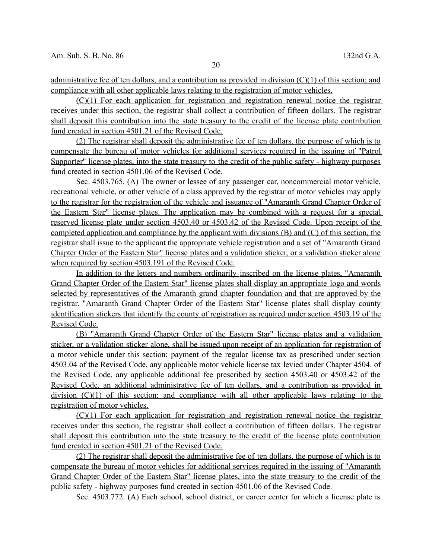administrative fee of ten dollars, and a contribution as provided in division  $(C)(1)$  of this section; and compliance with all other applicable laws relating to the registration of motor vehicles.

 (C)(1) For each application for registration and registration renewal notice the registrar receives under this section, the registrar shall collect a contribution of fifteen dollars. The registrar shall deposit this contribution into the state treasury to the credit of the license plate contribution fund created in section 4501.21 of the Revised Code.

 (2) The registrar shall deposit the administrative fee of ten dollars, the purpose of which is to compensate the bureau of motor vehicles for additional services required in the issuing of "Patrol Supporter" license plates, into the state treasury to the credit of the public safety - highway purposes fund created in section 4501.06 of the Revised Code.

 Sec. 4503.765. (A) The owner or lessee of any passenger car, noncommercial motor vehicle, recreational vehicle, or other vehicle of a class approved by the registrar of motor vehicles may apply to the registrar for the registration of the vehicle and issuance of "Amaranth Grand Chapter Order of the Eastern Star" license plates. The application may be combined with a request for a special reserved license plate under section 4503.40 or 4503.42 of the Revised Code. Upon receipt of the completed application and compliance by the applicant with divisions (B) and (C) of this section, the registrar shall issue to the applicant the appropriate vehicle registration and a set of "Amaranth Grand Chapter Order of the Eastern Star" license plates and a validation sticker, or a validation sticker alone when required by section 4503.191 of the Revised Code.

 In addition to the letters and numbers ordinarily inscribed on the license plates, "Amaranth Grand Chapter Order of the Eastern Star" license plates shall display an appropriate logo and words selected by representatives of the Amaranth grand chapter foundation and that are approved by the registrar. "Amaranth Grand Chapter Order of the Eastern Star" license plates shall display county identification stickers that identify the county of registration as required under section 4503.19 of the Revised Code.

 (B) "Amaranth Grand Chapter Order of the Eastern Star" license plates and a validation sticker, or a validation sticker alone, shall be issued upon receipt of an application for registration of a motor vehicle under this section; payment of the regular license tax as prescribed under section 4503.04 of the Revised Code, any applicable motor vehicle license tax levied under Chapter 4504. of the Revised Code, any applicable additional fee prescribed by section 4503.40 or 4503.42 of the Revised Code, an additional administrative fee of ten dollars, and a contribution as provided in division (C)(1) of this section; and compliance with all other applicable laws relating to the registration of motor vehicles.

 (C)(1) For each application for registration and registration renewal notice the registrar receives under this section, the registrar shall collect a contribution of fifteen dollars. The registrar shall deposit this contribution into the state treasury to the credit of the license plate contribution fund created in section 4501.21 of the Revised Code.

 (2) The registrar shall deposit the administrative fee of ten dollars, the purpose of which is to compensate the bureau of motor vehicles for additional services required in the issuing of "Amaranth Grand Chapter Order of the Eastern Star" license plates, into the state treasury to the credit of the public safety - highway purposes fund created in section 4501.06 of the Revised Code.

Sec. 4503.772. (A) Each school, school district, or career center for which a license plate is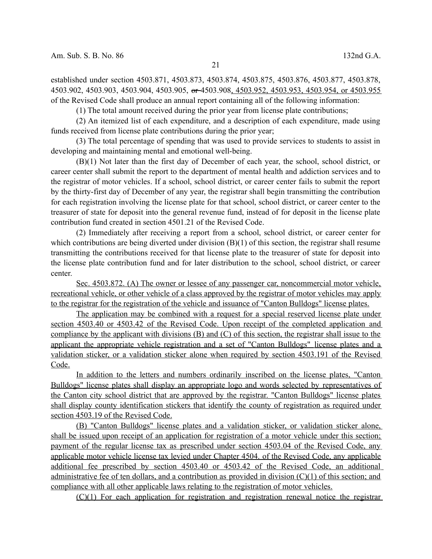established under section 4503.871, 4503.873, 4503.874, 4503.875, 4503.876, 4503.877, 4503.878, 4503.902, 4503.903, 4503.904, 4503.905, or 4503.908 , 4503.952, 4503.953, 4503.954, or 4503.955 of the Revised Code shall produce an annual report containing all of the following information:

(1) The total amount received during the prior year from license plate contributions;

(2) An itemized list of each expenditure, and a description of each expenditure, made using funds received from license plate contributions during the prior year;

(3) The total percentage of spending that was used to provide services to students to assist in developing and maintaining mental and emotional well-being.

(B)(1) Not later than the first day of December of each year, the school, school district, or career center shall submit the report to the department of mental health and addiction services and to the registrar of motor vehicles. If a school, school district, or career center fails to submit the report by the thirty-first day of December of any year, the registrar shall begin transmitting the contribution for each registration involving the license plate for that school, school district, or career center to the treasurer of state for deposit into the general revenue fund, instead of for deposit in the license plate contribution fund created in section 4501.21 of the Revised Code.

(2) Immediately after receiving a report from a school, school district, or career center for which contributions are being diverted under division (B)(1) of this section, the registrar shall resume transmitting the contributions received for that license plate to the treasurer of state for deposit into the license plate contribution fund and for later distribution to the school, school district, or career center.

 Sec. 4503.872. (A) The owner or lessee of any passenger car, noncommercial motor vehicle, recreational vehicle, or other vehicle of a class approved by the registrar of motor vehicles may apply to the registrar for the registration of the vehicle and issuance of "Canton Bulldogs" license plates.

The application may be combined with a request for a special reserved license plate under section 4503.40 or 4503.42 of the Revised Code. Upon receipt of the completed application and compliance by the applicant with divisions (B) and (C) of this section, the registrar shall issue to the applicant the appropriate vehicle registration and a set of "Canton Bulldogs" license plates and a validation sticker, or a validation sticker alone when required by section 4503.191 of the Revised Code.

 In addition to the letters and numbers ordinarily inscribed on the license plates, "Canton Bulldogs" license plates shall display an appropriate logo and words selected by representatives of the Canton city school district that are approved by the registrar. "Canton Bulldogs" license plates shall display county identification stickers that identify the county of registration as required under section 4503.19 of the Revised Code.

 (B) "Canton Bulldogs" license plates and a validation sticker, or validation sticker alone, shall be issued upon receipt of an application for registration of a motor vehicle under this section; payment of the regular license tax as prescribed under section 4503.04 of the Revised Code, any applicable motor vehicle license tax levied under Chapter 4504. of the Revised Code, any applicable additional fee prescribed by section 4503.40 or 4503.42 of the Revised Code, an additional administrative fee of ten dollars, and a contribution as provided in division  $(C)(1)$  of this section; and compliance with all other applicable laws relating to the registration of motor vehicles.

(C)(1) For each application for registration and registration renewal notice the registrar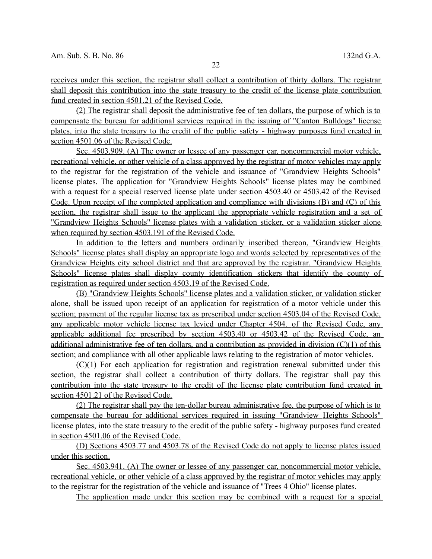receives under this section, the registrar shall collect a contribution of thirty dollars. The registrar shall deposit this contribution into the state treasury to the credit of the license plate contribution fund created in section 4501.21 of the Revised Code.

 (2) The registrar shall deposit the administrative fee of ten dollars, the purpose of which is to compensate the bureau for additional services required in the issuing of "Canton Bulldogs" license plates, into the state treasury to the credit of the public safety - highway purposes fund created in section 4501.06 of the Revised Code.

 Sec. 4503.909. (A) The owner or lessee of any passenger car, noncommercial motor vehicle, recreational vehicle, or other vehicle of a class approved by the registrar of motor vehicles may apply to the registrar for the registration of the vehicle and issuance of "Grandview Heights Schools" license plates. The application for "Grandview Heights Schools" license plates may be combined with a request for a special reserved license plate under section 4503.40 or 4503.42 of the Revised Code. Upon receipt of the completed application and compliance with divisions (B) and (C) of this section, the registrar shall issue to the applicant the appropriate vehicle registration and a set of "Grandview Heights Schools" license plates with a validation sticker, or a validation sticker alone when required by section 4503.191 of the Revised Code.

 In addition to the letters and numbers ordinarily inscribed thereon, "Grandview Heights Schools" license plates shall display an appropriate logo and words selected by representatives of the Grandview Heights city school district and that are approved by the registrar. "Grandview Heights Schools" license plates shall display county identification stickers that identify the county of registration as required under section 4503.19 of the Revised Code.

 (B) "Grandview Heights Schools" license plates and a validation sticker, or validation sticker alone, shall be issued upon receipt of an application for registration of a motor vehicle under this section; payment of the regular license tax as prescribed under section 4503.04 of the Revised Code, any applicable motor vehicle license tax levied under Chapter 4504. of the Revised Code, any applicable additional fee prescribed by section 4503.40 or 4503.42 of the Revised Code, an additional administrative fee of ten dollars, and a contribution as provided in division  $(C)(1)$  of this section; and compliance with all other applicable laws relating to the registration of motor vehicles.

 (C)(1) For each application for registration and registration renewal submitted under this section, the registrar shall collect a contribution of thirty dollars. The registrar shall pay this contribution into the state treasury to the credit of the license plate contribution fund created in section 4501.21 of the Revised Code.

 (2) The registrar shall pay the ten-dollar bureau administrative fee, the purpose of which is to compensate the bureau for additional services required in issuing "Grandview Heights Schools" license plates, into the state treasury to the credit of the public safety - highway purposes fund created in section 4501.06 of the Revised Code.

 ( D) Sections 4503.77 and 4503.78 of the Revised Code do not apply to license plates issued under this section.

 Sec. 4503.941. (A) The owner or lessee of any passenger car, noncommercial motor vehicle, recreational vehicle, or other vehicle of a class approved by the registrar of motor vehicles may apply to the registrar for the registration of the vehicle and issuance of "Trees 4 Ohio" license plates.

The application made under this section may be combined with a request for a special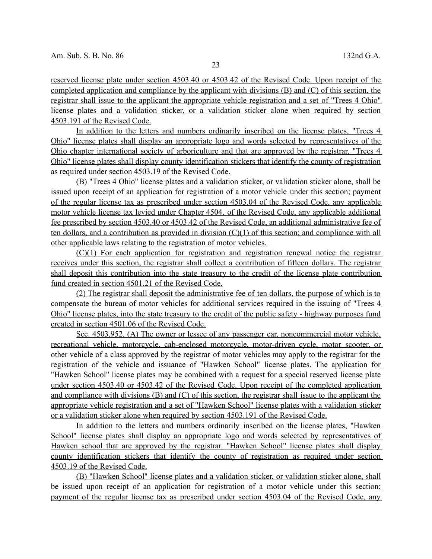reserved license plate under section 4503.40 or 4503.42 of the Revised Code. Upon receipt of the completed application and compliance by the applicant with divisions (B) and (C) of this section, the registrar shall issue to the applicant the appropriate vehicle registration and a set of "Trees 4 Ohio" license plates and a validation sticker, or a validation sticker alone when required by section 4503.191 of the Revised Code.

 In addition to the letters and numbers ordinarily inscribed on the license plates, "Trees 4 Ohio" license plates shall display an appropriate logo and words selected by representatives of the Ohio chapter international society of arboriculture and that are approved by the registrar. "Trees 4 Ohio" license plates shall display county identification stickers that identify the county of registration as required under section 4503.19 of the Revised Code.

 (B) " Trees 4 Ohio" license plates and a validation sticker, or validation sticker alone, shall be issued upon receipt of an application for registration of a motor vehicle under this section; payment of the regular license tax as prescribed under section 4503.04 of the Revised Code, any applicable motor vehicle license tax levied under Chapter 4504. of the Revised Code, any applicable additional fee prescribed by section 4503.40 or 4503.42 of the Revised Code, an additional administrative fee of ten dollars, and a contribution as provided in division  $(C)(1)$  of this section; and compliance with all other applicable laws relating to the registration of motor vehicles.

 (C)(1) For each application for registration and registration renewal notice the registrar receives under this section, the registrar shall collect a contribution of fifteen dollars. The registrar shall deposit this contribution into the state treasury to the credit of the license plate contribution fund created in section 4501.21 of the Revised Code.

 (2) The registrar shall deposit the administrative fee of ten dollars, the purpose of which is to compensate the bureau of motor vehicles for additional services required in the issuing of "Trees 4 Ohio" license plates, into the state treasury to the credit of the public safety - highway purposes fund created in section 4501.06 of the Revised Code.

 Sec. 4503.952. (A) The owner or lessee of any passenger car, noncommercial motor vehicle, recreational vehicle, motorcycle, cab-enclosed motorcycle, motor-driven cycle, motor scooter, or other vehicle of a class approved by the registrar of motor vehicles may apply to the registrar for the registration of the vehicle and issuance of "Hawken School" license plates. The application for "Hawken School" license plates may be combined with a request for a special reserved license plate under section 4503.40 or 4503.42 of the Revised Code. Upon receipt of the completed application and compliance with divisions (B) and (C) of this section, the registrar shall issue to the applicant the appropriate vehicle registration and a set of "Hawken School" license plates with a validation sticker or a validation sticker alone when required by section 4503.191 of the Revised Code.

 In addition to the letters and numbers ordinarily inscribed on the license plates, "Hawken School" license plates shall display an appropriate logo and words selected by representatives of Hawken school that are approved by the registrar. "Hawken School" license plates shall display county identification stickers that identify the county of registration as required under section 4503.19 of the Revised Code.

 (B) "Hawken School" license plates and a validation sticker, or validation sticker alone, shall be issued upon receipt of an application for registration of a motor vehicle under this section; payment of the regular license tax as prescribed under section 4503.04 of the Revised Code, any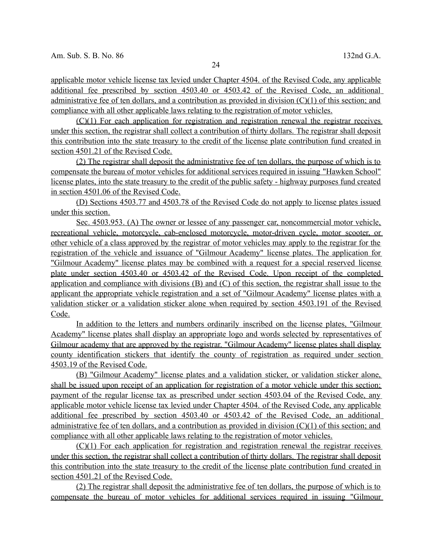applicable motor vehicle license tax levied under Chapter 4504. of the Revised Code, any applicable additional fee prescribed by section 4503.40 or 4503.42 of the Revised Code, an additional administrative fee of ten dollars, and a contribution as provided in division  $(C)(1)$  of this section; and compliance with all other applicable laws relating to the registration of motor vehicles.

 (C)(1) For each application for registration and registration renewal the registrar receives under this section, the registrar shall collect a contribution of thirty dollars. The registrar shall deposit this contribution into the state treasury to the credit of the license plate contribution fund created in section 4501.21 of the Revised Code.

 (2) The registrar shall deposit the administrative fee of ten dollars, the purpose of which is to compensate the bureau of motor vehicles for additional services required in issuing "Hawken School" license plates, into the state treasury to the credit of the public safety - highway purposes fund created in section 4501.06 of the Revised Code.

 (D) Sections 4503.77 and 4503.78 of the Revised Code do not apply to license plates issued under this section.

 Sec. 4503.953. (A) The owner or lessee of any passenger car, noncommercial motor vehicle, recreational vehicle, motorcycle, cab-enclosed motorcycle, motor-driven cycle, motor scooter, or other vehicle of a class approved by the registrar of motor vehicles may apply to the registrar for the registration of the vehicle and issuance of "Gilmour Academy" license plates. The application for "Gilmour Academy" license plates may be combined with a request for a special reserved license plate under section 4503.40 or 4503.42 of the Revised Code. Upon receipt of the completed application and compliance with divisions (B) and (C) of this section, the registrar shall issue to the applicant the appropriate vehicle registration and a set of "Gilmour Academy" license plates with a validation sticker or a validation sticker alone when required by section 4503.191 of the Revised Code.

 In addition to the letters and numbers ordinarily inscribed on the license plates, "Gilmour Academy" license plates shall display an appropriate logo and words selected by representatives of Gilmour academy that are approved by the registrar. "Gilmour Academy" license plates shall display county identification stickers that identify the county of registration as required under section 4503.19 of the Revised Code.

 (B) "Gilmour Academy" license plates and a validation sticker, or validation sticker alone, shall be issued upon receipt of an application for registration of a motor vehicle under this section; payment of the regular license tax as prescribed under section 4503.04 of the Revised Code, any applicable motor vehicle license tax levied under Chapter 4504. of the Revised Code, any applicable additional fee prescribed by section 4503.40 or 4503.42 of the Revised Code, an additional administrative fee of ten dollars, and a contribution as provided in division (C)(1) of this section; and compliance with all other applicable laws relating to the registration of motor vehicles.

 (C)(1) For each application for registration and registration renewal the registrar receives under this section, the registrar shall collect a contribution of thirty dollars. The registrar shall deposit this contribution into the state treasury to the credit of the license plate contribution fund created in section 4501.21 of the Revised Code.

 (2) The registrar shall deposit the administrative fee of ten dollars, the purpose of which is to compensate the bureau of motor vehicles for additional services required in issuing "Gilmour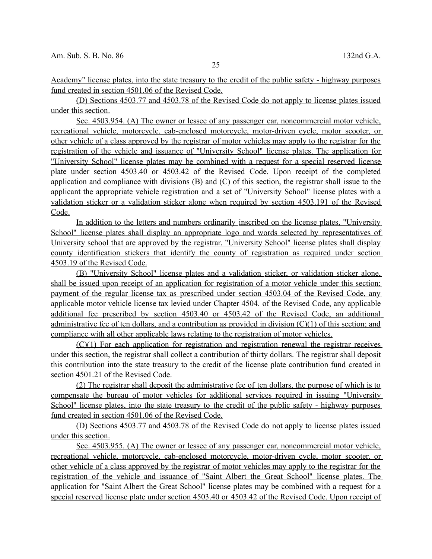Academy" license plates, into the state treasury to the credit of the public safety - highway purposes fund created in section 4501.06 of the Revised Code.

 (D) Sections 4503.77 and 4503.78 of the Revised Code do not apply to license plates issued under this section.

 Sec. 4503.954. (A) The owner or lessee of any passenger car, noncommercial motor vehicle, recreational vehicle, motorcycle, cab-enclosed motorcycle, motor-driven cycle, motor scooter, or other vehicle of a class approved by the registrar of motor vehicles may apply to the registrar for the registration of the vehicle and issuance of "University School" license plates. The application for "University School" license plates may be combined with a request for a special reserved license plate under section 4503.40 or 4503.42 of the Revised Code. Upon receipt of the completed application and compliance with divisions (B) and (C) of this section, the registrar shall issue to the applicant the appropriate vehicle registration and a set of "University School" license plates with a validation sticker or a validation sticker alone when required by section 4503.191 of the Revised Code.

 In addition to the letters and numbers ordinarily inscribed on the license plates, "University School" license plates shall display an appropriate logo and words selected by representatives of University school that are approved by the registrar. "University School" license plates shall display county identification stickers that identify the county of registration as required under section 4503.19 of the Revised Code.

 (B) "University School" license plates and a validation sticker, or validation sticker alone, shall be issued upon receipt of an application for registration of a motor vehicle under this section; payment of the regular license tax as prescribed under section 4503.04 of the Revised Code, any applicable motor vehicle license tax levied under Chapter 4504. of the Revised Code, any applicable additional fee prescribed by section 4503.40 or 4503.42 of the Revised Code, an additional administrative fee of ten dollars, and a contribution as provided in division (C)(1) of this section; and compliance with all other applicable laws relating to the registration of motor vehicles.

 (C)(1) For each application for registration and registration renewal the registrar receives under this section, the registrar shall collect a contribution of thirty dollars. The registrar shall deposit this contribution into the state treasury to the credit of the license plate contribution fund created in section 4501.21 of the Revised Code.

 (2) The registrar shall deposit the administrative fee of ten dollars, the purpose of which is to compensate the bureau of motor vehicles for additional services required in issuing "University School" license plates, into the state treasury to the credit of the public safety - highway purposes fund created in section 4501.06 of the Revised Code.

 (D) Sections 4503.77 and 4503.78 of the Revised Code do not apply to license plates issued under this section.

 Sec. 4503.955. (A) The owner or lessee of any passenger car, noncommercial motor vehicle, recreational vehicle, motorcycle, cab-enclosed motorcycle, motor-driven cycle, motor scooter, or other vehicle of a class approved by the registrar of motor vehicles may apply to the registrar for the registration of the vehicle and issuance of "Saint Albert the Great School" license plates. The application for "Saint Albert the Great School" license plates may be combined with a request for a special reserved license plate under section 4503.40 or 4503.42 of the Revised Code. Upon receipt of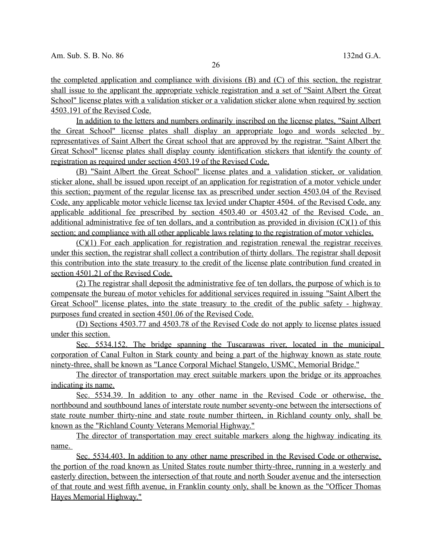the completed application and compliance with divisions (B) and (C) of this section, the registrar shall issue to the applicant the appropriate vehicle registration and a set of "Saint Albert the Great School" license plates with a validation sticker or a validation sticker alone when required by section 4503.191 of the Revised Code.

 In addition to the letters and numbers ordinarily inscribed on the license plates, "Saint Albert the Great School" license plates shall display an appropriate logo and words selected by representatives of Saint Albert the Great school that are approved by the registrar. "Saint Albert the Great School" license plates shall display county identification stickers that identify the county of registration as required under section 4503.19 of the Revised Code.

 (B) "Saint Albert the Great School" license plates and a validation sticker, or validation sticker alone, shall be issued upon receipt of an application for registration of a motor vehicle under this section; payment of the regular license tax as prescribed under section 4503.04 of the Revised Code, any applicable motor vehicle license tax levied under Chapter 4504. of the Revised Code, any applicable additional fee prescribed by section 4503.40 or 4503.42 of the Revised Code, an additional administrative fee of ten dollars, and a contribution as provided in division  $(C)(1)$  of this section; and compliance with all other applicable laws relating to the registration of motor vehicles.

 (C)(1) For each application for registration and registration renewal the registrar receives under this section, the registrar shall collect a contribution of thirty dollars. The registrar shall deposit this contribution into the state treasury to the credit of the license plate contribution fund created in section 4501.21 of the Revised Code.

 (2) The registrar shall deposit the administrative fee of ten dollars, the purpose of which is to compensate the bureau of motor vehicles for additional services required in issuing "Saint Albert the Great School" license plates, into the state treasury to the credit of the public safety - highway purposes fund created in section 4501.06 of the Revised Code.

 (D) Sections 4503.77 and 4503.78 of the Revised Code do not apply to license plates issued under this section.

 Sec. 5534.152. The bridge spanning the Tuscarawas river, located in the municipal corporation of Canal Fulton in Stark county and being a part of the highway known as state route ninety-three, shall be known as "Lance Corporal Michael Stangelo, USMC, Memorial Bridge."

 The director of transportation may erect suitable markers upon the bridge or its approaches indicating its name.

 Sec. 5534.39. In addition to any other name in the Revised Code or otherwise, the northbound and southbound lanes of interstate route number seventy-one between the intersections of state route number thirty-nine and state route number thirteen, in Richland county only, shall be known as the "Richland County Veterans Memorial Highway."

 The director of transportation may erect suitable markers along the highway indicating its name.

 Sec. 5534.403. In addition to any other name prescribed in the Revised Code or otherwise, the portion of the road known as United States route number thirty-three, running in a westerly and easterly direction, between the intersection of that route and north Souder avenue and the intersection of that route and west fifth avenue, in Franklin county only, shall be known as the "Officer Thomas Hayes Memorial Highway."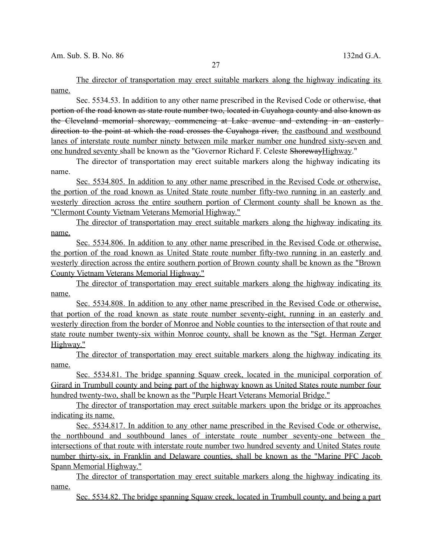The director of transportation may erect suitable markers along the highway indicating its name.

Sec. 5534.53. In addition to any other name prescribed in the Revised Code or otherwise, that portion of the road known as state route number two, located in Cuyahoga county and also known as the Cleveland memorial shoreway, commencing at Lake avenue and extending in an easterly direction to the point at which the road crosses the Cuyahoga river, the eastbound and westbound lanes of interstate route number ninety between mile marker number one hundred sixty-seven and one hundred seventy shall be known as the "Governor Richard F. Celeste ShorewayHighway."

The director of transportation may erect suitable markers along the highway indicating its name.

Sec. 5534.805. In addition to any other name prescribed in the Revised Code or otherwise, the portion of the road known as United State route number fifty-two running in an easterly and westerly direction across the entire southern portion of Clermont county shall be known as the "Clermont County Vietnam Veterans Memorial Highway."

 The director of transportation may erect suitable markers along the highway indicating its name.

 Sec. 5534.806. In addition to any other name prescribed in the Revised Code or otherwise, the portion of the road known as United State route number fifty-two running in an easterly and westerly direction across the entire southern portion of Brown county shall be known as the "Brown County Vietnam Veterans Memorial Highway."

 The director of transportation may erect suitable markers along the highway indicating its name.

 Sec. 5534.808. In addition to any other name prescribed in the Revised Code or otherwise, that portion of the road known as state route number seventy-eight, running in an easterly and westerly direction from the border of Monroe and Noble counties to the intersection of that route and state route number twenty-six within Monroe county, shall be known as the "Sgt. Herman Zerger Highway."

The director of transportation may erect suitable markers along the highway indicating its name.

 Sec. 5534.81. The bridge spanning Squaw creek, located in the municipal corporation of Girard in Trumbull county and being part of the highway known as United States route number four hundred twenty-two, shall be known as the "Purple Heart Veterans Memorial Bridge."

 The director of transportation may erect suitable markers upon the bridge or its approaches indicating its name.

Sec. 5534.817. In addition to any other name prescribed in the Revised Code or otherwise, the northbound and southbound lanes of interstate route number seventy-one between the intersections of that route with interstate route number two hundred seventy and United States route number thirty-six, in Franklin and Delaware counties, shall be known as the "Marine PFC Jacob Spann Memorial Highway."

The director of transportation may erect suitable markers along the highway indicating its name.

Sec. 5534.82. The bridge spanning Squaw creek, located in Trumbull county, and being a part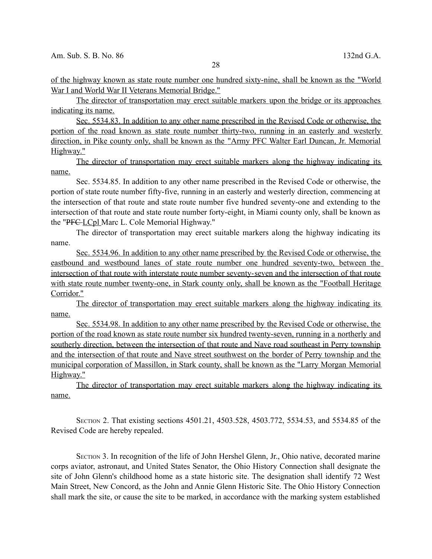of the highway known as state route number one hundred sixty-nine, shall be known as the "World War I and World War II Veterans Memorial Bridge."

 The director of transportation may erect suitable markers upon the bridge or its approaches indicating its name.

 Sec. 5534.83. In addition to any other name prescribed in the Revised Code or otherwise, the portion of the road known as state route number thirty-two, running in an easterly and westerly direction, in Pike county only, shall be known as the "Army PFC Walter Earl Duncan, Jr. Memorial Highway."

 The director of transportation may erect suitable markers along the highway indicating its name.

Sec. 5534.85. In addition to any other name prescribed in the Revised Code or otherwise, the portion of state route number fifty-five, running in an easterly and westerly direction, commencing at the intersection of that route and state route number five hundred seventy-one and extending to the intersection of that route and state route number forty-eight, in Miami county only, shall be known as the "PFC LCpl Marc L. Cole Memorial Highway."

The director of transportation may erect suitable markers along the highway indicating its name.

 Sec. 5534.96. In addition to any other name prescribed by the Revised Code or otherwise, the eastbound and westbound lanes of state route number one hundred seventy-two, between the intersection of that route with interstate route number seventy- seven and the intersection of that route with state route number twenty-one, in Stark county only, shall be known as the "Football Heritage" Corridor."

 The director of transportation may erect suitable markers along the highway indicating its name.

 Sec. 5534.98. In addition to any other name prescribed by the Revised Code or otherwise, the portion of the road known as state route number six hundred twenty-seven, running in a northerly and southerly direction, between the intersection of that route and Nave road southeast in Perry township and the intersection of that route and Nave street southwest on the border of Perry township and the municipal corporation of Massillon, in Stark county, shall be known as the "Larry Morgan Memorial Highway."

 The director of transportation may erect suitable markers along the highway indicating its name.

SECTION 2. That existing sections 4501.21, 4503.528, 4503.772, 5534.53, and 5534.85 of the Revised Code are hereby repealed.

SECTION 3. In recognition of the life of John Hershel Glenn, Jr., Ohio native, decorated marine corps aviator, astronaut, and United States Senator, the Ohio History Connection shall designate the site of John Glenn's childhood home as a state historic site. The designation shall identify 72 West Main Street, New Concord, as the John and Annie Glenn Historic Site. The Ohio History Connection shall mark the site, or cause the site to be marked, in accordance with the marking system established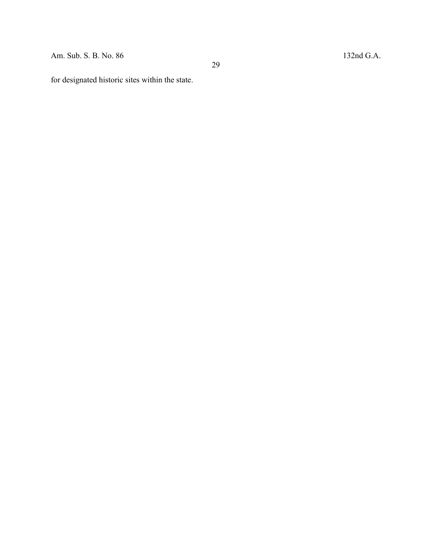for designated historic sites within the state.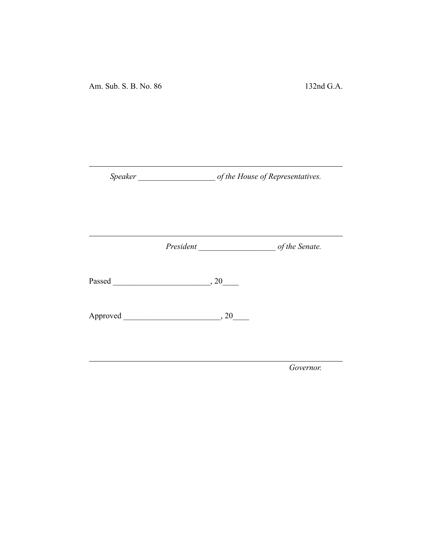Am. Sub. S. B. No. 86 132nd G.A.

*Speaker \_\_\_\_\_\_\_\_\_\_\_\_\_\_\_\_\_\_\_ of the House of Representatives.*

*President \_\_\_\_\_\_\_\_\_\_\_\_\_\_\_\_\_\_\_ of the Senate.*

Passed \_\_\_\_\_\_\_\_\_\_\_\_\_\_\_\_\_\_\_\_\_\_\_\_, 20\_\_\_\_

Approved \_\_\_\_\_\_\_\_\_\_\_\_\_\_\_\_\_\_\_\_\_\_\_\_, 20\_\_\_\_

*Governor.*